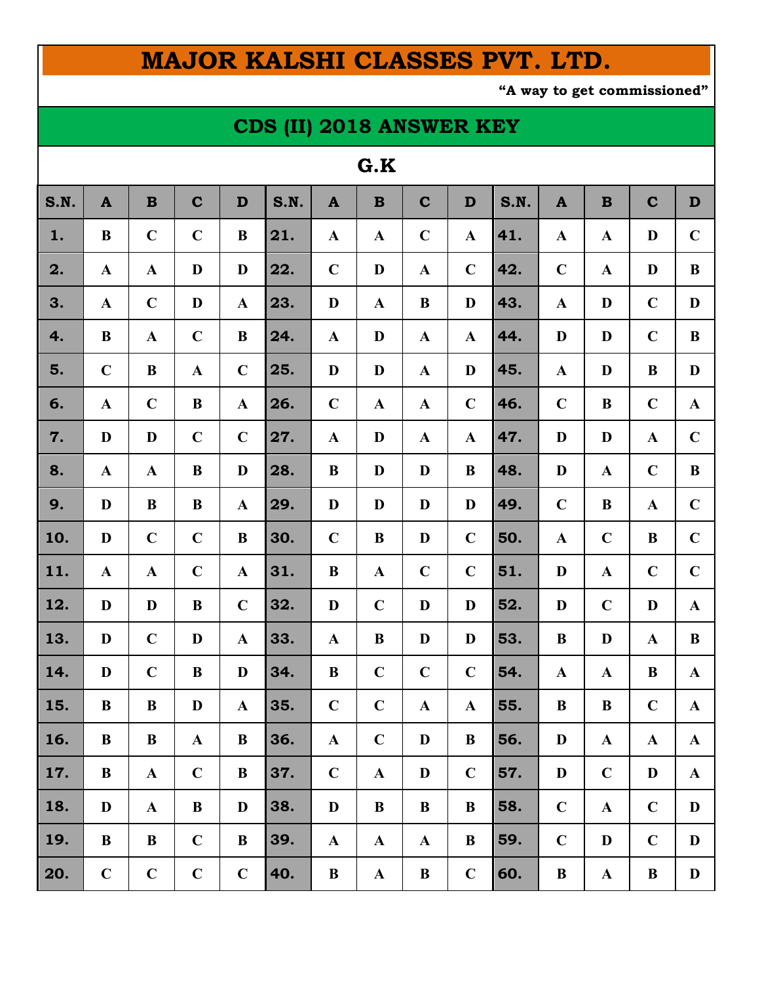## **MAJOR KALSHI CLASSES PVT. LTD.**

**"A way to get commissioned"**

## **CDS (II) 2018 ANSWER KEY**

| u.n  |              |              |             |              |      |              |              |              |              |      |              |              |              |              |
|------|--------------|--------------|-------------|--------------|------|--------------|--------------|--------------|--------------|------|--------------|--------------|--------------|--------------|
| S.N. | $\mathbf{A}$ | $\mathbf B$  | $\mathbf C$ | D            | S.N. | $\mathbf{A}$ | $\mathbf B$  | $\mathbf C$  | $\mathbf D$  | S.N. | $\mathbf{A}$ | $\mathbf B$  | $\mathbf C$  | D            |
| 1.   | B            | $\mathbf C$  | $\mathbf C$ | $\bf{B}$     | 21.  | $\mathbf A$  | $\mathbf{A}$ | $\mathbf C$  | $\mathbf A$  | 41.  | $\mathbf A$  | $\mathbf A$  | D            | $\mathbf C$  |
| 2.   | $\mathbf{A}$ | $\mathbf A$  | $\mathbf D$ | D            | 22.  | $\mathbf C$  | D            | $\mathbf{A}$ | $\mathbf C$  | 42.  | $\mathbf C$  | $\mathbf{A}$ | D            | B            |
| 3.   | $\mathbf{A}$ | $\mathbf C$  | $\mathbf D$ | $\mathbf A$  | 23.  | D            | $\mathbf A$  | B            | D            | 43.  | $\mathbf A$  | D            | $\mathbf C$  | D            |
| 4.   | B            | $\mathbf A$  | $\mathbf C$ | $\bf{B}$     | 24.  | $\mathbf{A}$ | D            | $\mathbf{A}$ | $\mathbf A$  | 44.  | D            | D            | $\mathbf C$  | $\bf{B}$     |
| 5.   | $\mathbf C$  | B            | $\mathbf A$ | $\mathbf C$  | 25.  | D            | D            | $\mathbf A$  | D            | 45.  | $\mathbf A$  | D            | $\bf{B}$     | D            |
| 6.   | $\mathbf{A}$ | $\mathbf C$  | $\bf{B}$    | $\mathbf A$  | 26.  | $\mathbf C$  | $\mathbf A$  | $\mathbf A$  | $\mathbf C$  | 46.  | $\mathbf C$  | B            | $\mathbf C$  | $\mathbf{A}$ |
| 7.   | D            | D            | $\mathbf C$ | $\mathbf C$  | 27.  | $\mathbf A$  | D            | $\mathbf{A}$ | $\mathbf{A}$ | 47.  | D            | D            | $\mathbf A$  | $\mathbf C$  |
| 8.   | $\mathbf{A}$ | $\mathbf A$  | B           | D            | 28.  | B            | D            | D            | $\bf{B}$     | 48.  | D            | $\mathbf{A}$ | $\mathbf C$  | $\bf{B}$     |
| 9.   | D            | B            | B           | $\mathbf{A}$ | 29.  | D            | D            | D            | D            | 49.  | $\mathbf C$  | B            | $\mathbf A$  | $\mathbf C$  |
| 10.  | D            | $\mathbf C$  | $\mathbf C$ | B            | 30.  | $\mathbf C$  | $\bf{B}$     | D            | $\mathbf C$  | 50.  | $\mathbf{A}$ | $\mathbf C$  | B            | $\mathbf C$  |
| 11.  | $\mathbf A$  | $\mathbf A$  | $\mathbf C$ | $\mathbf A$  | 31.  | B            | $\mathbf A$  | $\mathbf C$  | $\mathbf C$  | 51.  | D            | $\mathbf A$  | $\mathbf C$  | $\mathbf C$  |
| 12.  | D            | D            | B           | $\mathbf C$  | 32.  | D            | $\mathbf C$  | D            | D            | 52.  | D            | $\mathbf C$  | D            | $\mathbf{A}$ |
| 13.  | D            | $\mathbf C$  | D           | $\mathbf{A}$ | 33.  | $\mathbf{A}$ | $\bf{B}$     | D            | D            | 53.  | B            | D            | $\mathbf A$  | B            |
| 14.  | D            | $\mathbf C$  | B           | D            | 34.  | $\bf{B}$     | $\mathbf C$  | $\mathbf C$  | $\mathbf C$  | 54.  | $\mathbf{A}$ | $\mathbf{A}$ | $\bf{B}$     | $\mathbf{A}$ |
| 15.  | B            | B            | D           | $\mathbf A$  | 35.  | $\mathbf C$  | $\mathbf C$  | $\mathbf A$  | $\mathbf{A}$ | 55.  | B            | B            | $\mathbf C$  | $\mathbf A$  |
| 16.  | $\bf{B}$     | $\bf{B}$     | ${\bf A}$   | $\bf{B}$     | 36.  | $\mathbf A$  | $\mathbf C$  | D            | $\bf{B}$     | 56.  | $\mathbf D$  | $\mathbf A$  | $\mathbf{A}$ | $\mathbf A$  |
| 17.  | $\bf{B}$     | $\mathbf{A}$ | $\mathbf C$ | $\bf{B}$     | 37.  | $\mathbf C$  | $\mathbf{A}$ | D            | $\mathbf C$  | 57.  | $\mathbf{D}$ | $\mathbf C$  | $\mathbf{D}$ | $\mathbf{A}$ |
| 18.  | $\mathbf{D}$ | $\mathbf{A}$ | $\bf{B}$    | D            | 38.  | $\mathbf{D}$ | $\bf{B}$     | $\bf{B}$     | $\bf{B}$     | 58.  | $\mathbf C$  | $\mathbf A$  | $\mathbf C$  | D            |
| 19.  | $\bf{B}$     | $\bf{B}$     | $\mathbf C$ | B            | 39.  | $\mathbf{A}$ | $\mathbf{A}$ | $\mathbf{A}$ | $\bf{B}$     | 59.  | $\mathbf C$  | $\mathbf{D}$ | $\mathbf C$  | D            |
| 20.  | $\mathbf C$  | $\mathbf C$  | $\mathbf C$ | $\mathbf C$  | 40.  | $\bf{B}$     | ${\bf A}$    | $\bf{B}$     | $\mathbf C$  | 60.  | $\bf{B}$     | $\mathbf{A}$ | $\bf{B}$     | D            |